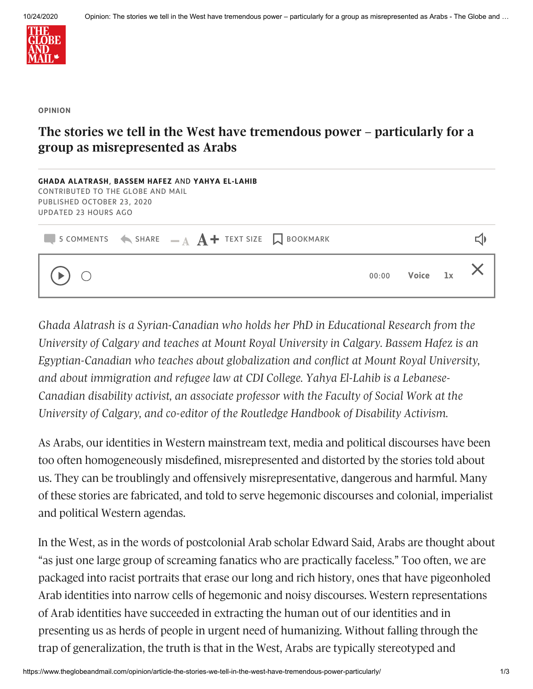

## **OPINION**

## The stories we tell in the West have tremendous power – particularly for a **group as misrepresented as Arabs**

| GHADA ALATRASH, BASSEM HAFEZ AND YAHYA EL-LAHIB<br>CONTRIBUTED TO THE GLOBE AND MAIL<br>PUBLISHED OCTOBER 23, 2020<br><b>UPDATED 23 HOURS AGO</b> |  |  |  |  |       |       |    |  |
|---------------------------------------------------------------------------------------------------------------------------------------------------|--|--|--|--|-------|-------|----|--|
| 5 COMMENTS $\leftarrow$ SHARE $\quad = \quad A$ $\rightarrow$ TEXT SIZE $\quad \Box$ BOOKMARK                                                     |  |  |  |  |       |       |    |  |
| $\bigcirc$                                                                                                                                        |  |  |  |  | 00:00 | Voice | 1x |  |

*Ghada Alatrash is a Syrian-Canadian who holds her PhD in Educational Research from the University of Calgary and teaches at Mount Royal University in Calgary. Bassem Hafez is an Egyptian-Canadian who teaches about globalization and conflict at Mount Royal University, and about immigration and refugee law at CDI College. Yahya El-Lahib is a Lebanese-Canadian disability activist, an associate professor with the Faculty of Social Work at the University of Calgary, and co-editor of the Routledge Handbook of Disability Activism.*

As Arabs, our identities in Western mainstream text, media and political discourses have been too often homogeneously misdefined, misrepresented and distorted by the stories told about us. They can be troublingly and offensively misrepresentative, dangerous and harmful. Many of these stories are fabricated, and told to serve hegemonic discourses and colonial, imperialist and political Western agendas.

In the West, as in the words of postcolonial Arab scholar Edward Said, Arabs are thought about "as just one large group of screaming fanatics who are practically faceless." Too often, we are packaged into racist portraits that erase our long and rich history, ones that have pigeonholed Arab identities into narrow cells of hegemonic and noisy discourses. Western representations of Arab identities have succeeded in extracting the human out of our identities and in presenting us as herds of people in urgent need of humanizing. Without falling through the trap of generalization, the truth is that in the West, Arabs are typically stereotyped and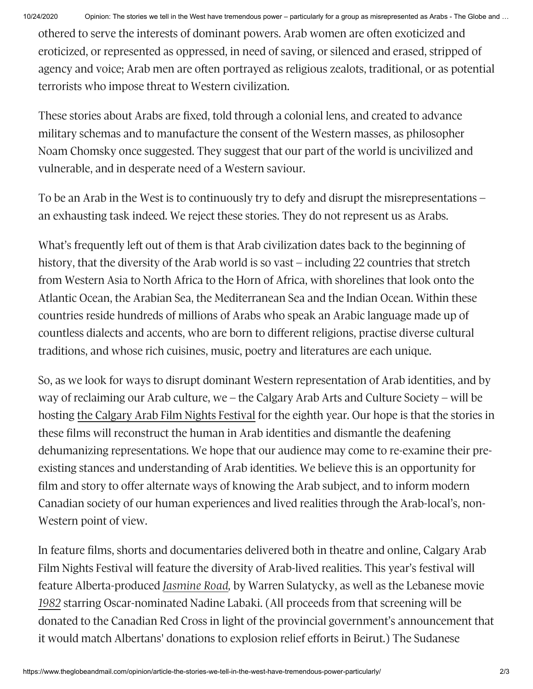othered to serve the interests of dominant powers. Arab women are often exoticized and eroticized, or represented as oppressed, in need of saving, or silenced and erased, stripped of agency and voice; Arab men are often portrayed as religious zealots, traditional, or as potential terrorists who impose threat to Western civilization.

These stories about Arabs are fixed, told through a colonial lens, and created to advance military schemas and to manufacture the consent of the Western masses, as philosopher Noam Chomsky once suggested. They suggest that our part of the world is uncivilized and vulnerable, and in desperate need of a Western saviour.

To be an Arab in the West is to continuously try to defy and disrupt the misrepresentations – an exhausting task indeed. We reject these stories. They do not represent us as Arabs.

What's frequently left out of them is that Arab civilization dates back to the beginning of history, that the diversity of the Arab world is so vast – including 22 countries that stretch from Western Asia to North Africa to the Horn of Africa, with shorelines that look onto the Atlantic Ocean, the Arabian Sea, the Mediterranean Sea and the Indian Ocean. Within these countries reside hundreds of millions of Arabs who speak an Arabic language made up of countless dialects and accents, who are born to different religions, practise diverse cultural traditions, and whose rich cuisines, music, poetry and literatures are each unique.

So, as we look for ways to disrupt dominant Western representation of Arab identities, and by way of reclaiming our Arab culture, we – the Calgary Arab Arts and Culture Society – will be hosting the [Calgary](https://secure.tgam.arcpublishing.com/composer/calgaryarabartssociety.ca) Arab Film Nights Festival for the eighth year. Our hope is that the stories in these films will reconstruct the human in Arab identities and dismantle the deafening dehumanizing representations. We hope that our audience may come to re-examine their preexisting stances and understanding of Arab identities. We believe this is an opportunity for film and story to offer alternate ways of knowing the Arab subject, and to inform modern Canadian society of our human experiences and lived realities through the Arab-local's, non-Western point of view.

In feature films, shorts and documentaries delivered both in theatre and online, Calgary Arab Film Nights Festival will feature the diversity of Arab-lived realities. This year's festival will feature Alberta-produced *[Jasmine](https://www.youtube.com/watch?v=pbT0P_5bq-U&ab_channel=CIFFCalgary) Road,* by Warren Sulatycky, as well as the Lebanese movie *[1982](https://www.youtube.com/watch?v=ly1jyhqyj7w&ab_channel=EmpireMovies)* starring Oscar-nominated Nadine Labaki. (All proceeds from that screening will be donated to the Canadian Red Cross in light of the provincial government's announcement that it would match Albertans' donations to explosion relief efforts in Beirut.) The Sudanese